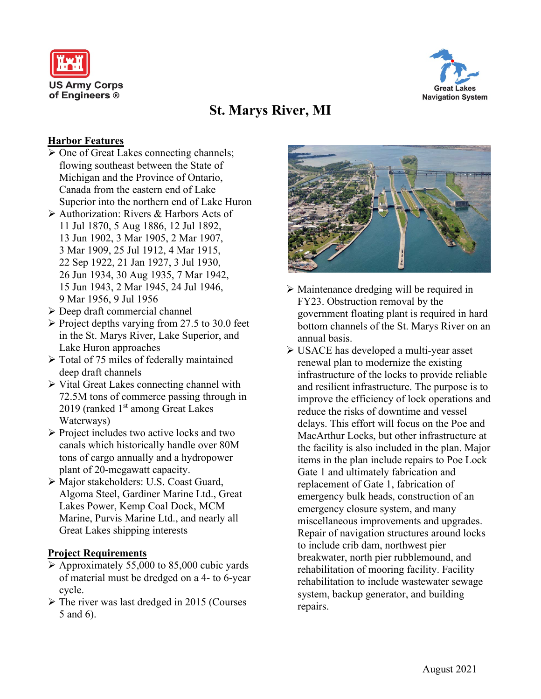



# **St. Marys River, MI**

### **Harbor Features**

- $\triangleright$  One of Great Lakes connecting channels; flowing southeast between the State of Michigan and the Province of Ontario, Canada from the eastern end of Lake Superior into the northern end of Lake Huron
- Authorization: Rivers & Harbors Acts of 11 Jul 1870, 5 Aug 1886, 12 Jul 1892, 13 Jun 1902, 3 Mar 1905, 2 Mar 1907, 3 Mar 1909, 25 Jul 1912, 4 Mar 1915, 22 Sep 1922, 21 Jan 1927, 3 Jul 1930, 26 Jun 1934, 30 Aug 1935, 7 Mar 1942, 15 Jun 1943, 2 Mar 1945, 24 Jul 1946, 9 Mar 1956, 9 Jul 1956
- $\triangleright$  Deep draft commercial channel
- $\triangleright$  Project depths varying from 27.5 to 30.0 feet in the St. Marys River, Lake Superior, and Lake Huron approaches
- $\triangleright$  Total of 75 miles of federally maintained deep draft channels
- $\triangleright$  Vital Great Lakes connecting channel with 72.5M tons of commerce passing through in 2019 (ranked  $1<sup>st</sup>$  among Great Lakes Waterways)
- $\triangleright$  Project includes two active locks and two canals which historically handle over 80M tons of cargo annually and a hydropower plant of 20-megawatt capacity.
- Major stakeholders: U.S. Coast Guard, Algoma Steel, Gardiner Marine Ltd., Great Lakes Power, Kemp Coal Dock, MCM Marine, Purvis Marine Ltd., and nearly all Great Lakes shipping interests

#### **Project Requirements**

- $\triangleright$  Approximately 55,000 to 85,000 cubic yards of material must be dredged on a 4- to 6-year cycle.
- $\triangleright$  The river was last dredged in 2015 (Courses 5 and 6).



- Maintenance dredging will be required in FY23. Obstruction removal by the government floating plant is required in hard bottom channels of the St. Marys River on an annual basis.
- USACE has developed a multi-year asset renewal plan to modernize the existing infrastructure of the locks to provide reliable and resilient infrastructure. The purpose is to improve the efficiency of lock operations and reduce the risks of downtime and vessel delays. This effort will focus on the Poe and MacArthur Locks, but other infrastructure at the facility is also included in the plan. Major items in the plan include repairs to Poe Lock Gate 1 and ultimately fabrication and replacement of Gate 1, fabrication of emergency bulk heads, construction of an emergency closure system, and many miscellaneous improvements and upgrades. Repair of navigation structures around locks to include crib dam, northwest pier breakwater, north pier rubblemound, and rehabilitation of mooring facility. Facility rehabilitation to include wastewater sewage system, backup generator, and building repairs.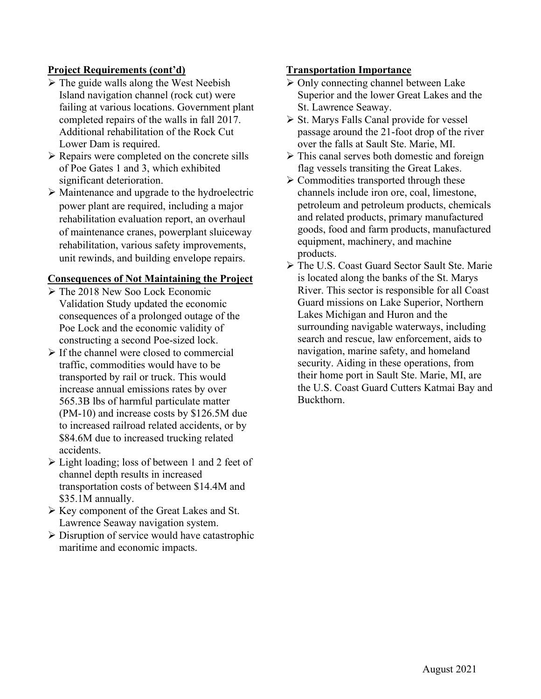# **Project Requirements (cont'd)**

- $\triangleright$  The guide walls along the West Neebish Island navigation channel (rock cut) were failing at various locations. Government plant completed repairs of the walls in fall 2017. Additional rehabilitation of the Rock Cut Lower Dam is required.
- Repairs were completed on the concrete sills of Poe Gates 1 and 3, which exhibited significant deterioration.
- $\triangleright$  Maintenance and upgrade to the hydroelectric power plant are required, including a major rehabilitation evaluation report, an overhaul of maintenance cranes, powerplant sluiceway rehabilitation, various safety improvements, unit rewinds, and building envelope repairs.

# **Consequences of Not Maintaining the Project**

- The 2018 New Soo Lock Economic Validation Study updated the economic consequences of a prolonged outage of the Poe Lock and the economic validity of constructing a second Poe-sized lock.
- $\triangleright$  If the channel were closed to commercial traffic, commodities would have to be transported by rail or truck. This would increase annual emissions rates by over 565.3B lbs of harmful particulate matter (PM-10) and increase costs by \$126.5M due to increased railroad related accidents, or by \$84.6M due to increased trucking related accidents.
- $\triangleright$  Light loading; loss of between 1 and 2 feet of channel depth results in increased transportation costs of between \$14.4M and \$35.1M annually.
- Key component of the Great Lakes and St. Lawrence Seaway navigation system.
- $\triangleright$  Disruption of service would have catastrophic maritime and economic impacts.

## **Transportation Importance**

- $\triangleright$  Only connecting channel between Lake Superior and the lower Great Lakes and the St. Lawrence Seaway.
- $\triangleright$  St. Marys Falls Canal provide for vessel passage around the 21-foot drop of the river over the falls at Sault Ste. Marie, MI.
- $\triangleright$  This canal serves both domestic and foreign flag vessels transiting the Great Lakes.
- $\triangleright$  Commodities transported through these channels include iron ore, coal, limestone, petroleum and petroleum products, chemicals and related products, primary manufactured goods, food and farm products, manufactured equipment, machinery, and machine products.
- The U.S. Coast Guard Sector Sault Ste. Marie is located along the banks of the St. Marys River. This sector is responsible for all Coast Guard missions on Lake Superior, Northern Lakes Michigan and Huron and the surrounding navigable waterways, including search and rescue, law enforcement, aids to navigation, marine safety, and homeland security. Aiding in these operations, from their home port in Sault Ste. Marie, MI, are the U.S. Coast Guard Cutters Katmai Bay and Buckthorn.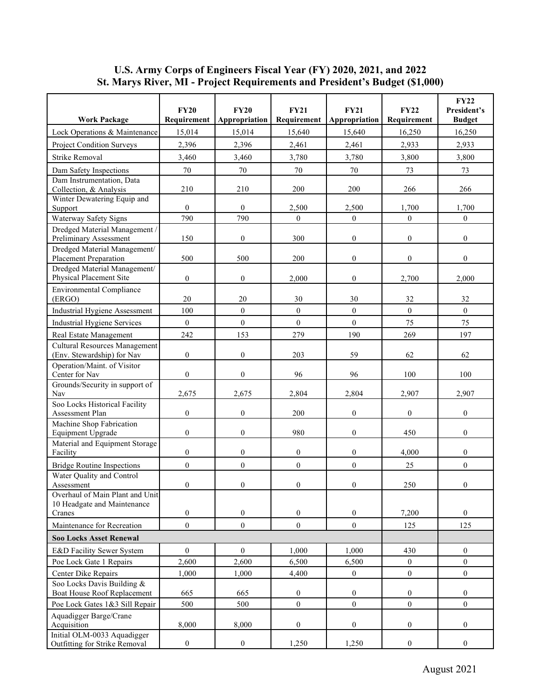|                                                                | <b>FY20</b>      | <b>FY20</b>      | <b>FY21</b>      | <b>FY21</b>      | FY22             | <b>FY22</b><br>President's |
|----------------------------------------------------------------|------------------|------------------|------------------|------------------|------------------|----------------------------|
| <b>Work Package</b>                                            | Requirement      | Appropriation    | Requirement      | Appropriation    | Requirement      | <b>Budget</b>              |
| Lock Operations & Maintenance                                  | 15,014           | 15,014           | 15,640           | 15,640           | 16,250           | 16,250                     |
| <b>Project Condition Surveys</b>                               | 2,396            | 2,396            | 2,461            | 2,461            | 2,933            | 2,933                      |
| <b>Strike Removal</b>                                          | 3,460            | 3,460            | 3,780            | 3,780            | 3,800            | 3,800                      |
| Dam Safety Inspections                                         | $70\,$           | 70               | 70               | 70               | 73               | 73                         |
| Dam Instrumentation, Data                                      |                  |                  |                  |                  |                  |                            |
| Collection, & Analysis<br>Winter Dewatering Equip and          | 210              | 210              | 200              | 200              | 266              | 266                        |
| Support                                                        | $\boldsymbol{0}$ | $\mathbf{0}$     | 2,500            | 2,500            | 1,700            | 1,700                      |
| Waterway Safety Signs                                          | 790              | 790              | $\boldsymbol{0}$ | $\mathbf{0}$     | $\mathbf{0}$     | $\boldsymbol{0}$           |
| Dredged Material Management /                                  |                  |                  |                  |                  |                  |                            |
| Preliminary Assessment                                         | 150              | $\mathbf{0}$     | 300              | $\mathbf{0}$     | $\boldsymbol{0}$ | $\boldsymbol{0}$           |
| Dredged Material Management/<br>Placement Preparation          | 500              | 500              | 200              | $\boldsymbol{0}$ | $\overline{0}$   | $\boldsymbol{0}$           |
| Dredged Material Management/                                   |                  |                  |                  |                  |                  |                            |
| Physical Placement Site                                        | $\boldsymbol{0}$ | $\boldsymbol{0}$ | 2,000            | $\boldsymbol{0}$ | 2,700            | 2,000                      |
| <b>Environmental Compliance</b>                                |                  |                  |                  |                  |                  |                            |
| (ERGO)                                                         | 20               | 20               | 30               | 30               | 32               | 32                         |
| Industrial Hygiene Assessment                                  | 100              | $\boldsymbol{0}$ | $\boldsymbol{0}$ | $\mathbf{0}$     | $\boldsymbol{0}$ | $\boldsymbol{0}$           |
| Industrial Hygiene Services                                    | $\mathbf{0}$     | $\mathbf{0}$     | $\overline{0}$   | $\mathbf{0}$     | 75               | 75                         |
| Real Estate Management                                         | 242              | 153              | 279              | 190              | 269              | 197                        |
| <b>Cultural Resources Management</b>                           | $\boldsymbol{0}$ |                  | 203              | 59               |                  |                            |
| (Env. Stewardship) for Nav<br>Operation/Maint. of Visitor      |                  | $\boldsymbol{0}$ |                  |                  | 62               | 62                         |
| Center for Nav                                                 | $\boldsymbol{0}$ | $\mathbf{0}$     | 96               | 96               | 100              | 100                        |
| Grounds/Security in support of<br>Nav                          | 2,675            | 2,675            | 2,804            | 2,804            | 2,907            | 2,907                      |
| Soo Locks Historical Facility<br>Assessment Plan               | $\mathbf{0}$     | $\mathbf{0}$     | 200              | $\mathbf{0}$     | $\mathbf{0}$     | $\overline{0}$             |
| Machine Shop Fabrication<br>Equipment Upgrade                  | $\boldsymbol{0}$ | $\mathbf{0}$     | 980              | $\boldsymbol{0}$ | 450              | $\boldsymbol{0}$           |
| Material and Equipment Storage<br>Facility                     | $\boldsymbol{0}$ | $\boldsymbol{0}$ | $\boldsymbol{0}$ | $\boldsymbol{0}$ | 4.000            | $\boldsymbol{0}$           |
| <b>Bridge Routine Inspections</b>                              | $\mathbf{0}$     | $\boldsymbol{0}$ | $\boldsymbol{0}$ | $\mathbf{0}$     | 25               | $\overline{0}$             |
| Water Quality and Control<br>Assessment                        | $\mathbf{0}$     | $\boldsymbol{0}$ | $\boldsymbol{0}$ | $\boldsymbol{0}$ | 250              | $\boldsymbol{0}$           |
| Overhaul of Main Plant and Unit<br>10 Headgate and Maintenance |                  |                  |                  |                  |                  |                            |
| Cranes                                                         | $\boldsymbol{0}$ | $\boldsymbol{0}$ | $\boldsymbol{0}$ | $\boldsymbol{0}$ | 7,200            | $\mathbf{0}$               |
| Maintenance for Recreation                                     | $\boldsymbol{0}$ | $\mathbf{0}$     | $\boldsymbol{0}$ | $\boldsymbol{0}$ | 125              | 125                        |
| <b>Soo Locks Asset Renewal</b>                                 |                  |                  |                  |                  |                  |                            |
| E&D Facility Sewer System                                      | $\boldsymbol{0}$ | $\boldsymbol{0}$ | 1,000            | 1,000            | 430              | $\boldsymbol{0}$           |
| Poe Lock Gate 1 Repairs                                        | 2,600            | 2,600            | 6,500            | 6,500            | $\boldsymbol{0}$ | $\boldsymbol{0}$           |
| Center Dike Repairs                                            | 1,000            | 1,000            | 4,400            | $\boldsymbol{0}$ | $\boldsymbol{0}$ | $\boldsymbol{0}$           |
| Soo Locks Davis Building &                                     |                  |                  |                  |                  |                  |                            |
| Boat House Roof Replacement                                    | 665              | 665              | $\boldsymbol{0}$ | $\boldsymbol{0}$ | $\boldsymbol{0}$ | 0                          |
| Poe Lock Gates 1&3 Sill Repair                                 | 500              | 500              | $\boldsymbol{0}$ | $\mathbf{0}$     | $\mathbf{0}$     | $\overline{0}$             |
| Aquadigger Barge/Crane<br>Acquisition                          | 8,000            | 8,000            | $\boldsymbol{0}$ | $\boldsymbol{0}$ | $\boldsymbol{0}$ | $\overline{0}$             |
| Initial OLM-0033 Aquadigger<br>Outfitting for Strike Removal   | $\boldsymbol{0}$ | $\boldsymbol{0}$ | 1,250            | 1,250            | $\boldsymbol{0}$ | $\boldsymbol{0}$           |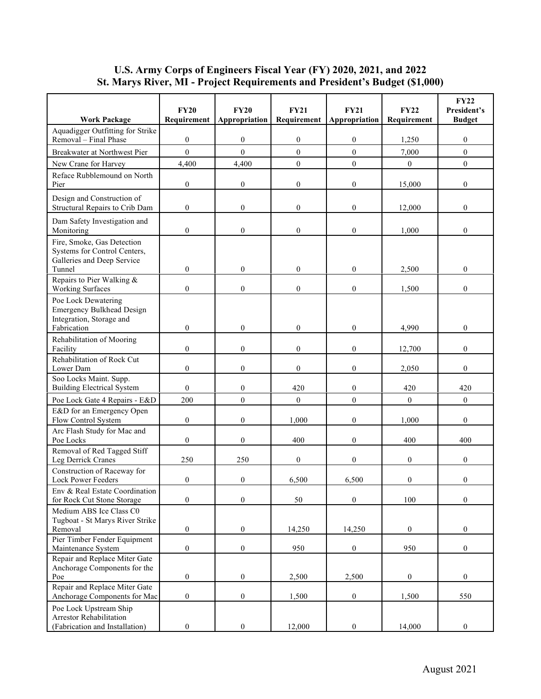| Aquadigger Outfitting for Strike<br>Removal – Final Phase<br>$\theta$<br>$\boldsymbol{0}$<br>$\boldsymbol{0}$<br>$\mathbf{0}$<br>$\boldsymbol{0}$<br>1,250<br>$\mathbf{0}$<br>$\theta$<br>$\boldsymbol{0}$<br>$\mathbf{0}$<br>$\overline{0}$<br>Breakwater at Northwest Pier<br>7,000<br>4,400<br>$\boldsymbol{0}$<br>$\mathbf{0}$<br>$\overline{0}$<br>4,400<br>$\boldsymbol{0}$<br>New Crane for Harvey<br>Reface Rubblemound on North<br>$\boldsymbol{0}$<br>$\boldsymbol{0}$<br>$\boldsymbol{0}$<br>$\boldsymbol{0}$<br>Pier<br>15,000<br>0<br>Design and Construction of<br>Structural Repairs to Crib Dam<br>$\boldsymbol{0}$<br>$\boldsymbol{0}$<br>$\overline{0}$<br>$\overline{0}$<br>$\overline{0}$<br>12,000<br>Dam Safety Investigation and<br>$\boldsymbol{0}$<br>$\mathbf{0}$<br>$\boldsymbol{0}$<br>$\mathbf{0}$<br>1,000<br>$\boldsymbol{0}$<br>Monitoring<br>Fire, Smoke, Gas Detection<br>Systems for Control Centers,<br>Galleries and Deep Service<br>$\boldsymbol{0}$<br>$\boldsymbol{0}$<br>$\boldsymbol{0}$<br>$\overline{0}$<br>2,500<br>$\boldsymbol{0}$<br>Tunnel<br>Repairs to Pier Walking &<br><b>Working Surfaces</b><br>$\mathbf{0}$<br>$\boldsymbol{0}$<br>$\boldsymbol{0}$<br>$\overline{0}$<br>$\boldsymbol{0}$<br>1,500<br>Poe Lock Dewatering<br><b>Emergency Bulkhead Design</b><br>Integration, Storage and<br>$\mathbf{0}$<br>$\mathbf{0}$<br>$\boldsymbol{0}$<br>$\mathbf{0}$<br>Fabrication<br>4,990<br>$\overline{0}$<br>Rehabilitation of Mooring<br>Facility<br>$\mathbf{0}$<br>$\overline{0}$<br>$\boldsymbol{0}$<br>$\overline{0}$<br>12,700<br>$\overline{0}$<br>Rehabilitation of Rock Cut<br>$\mathbf{0}$<br>$\boldsymbol{0}$<br>$\boldsymbol{0}$<br>$\overline{0}$<br>$\boldsymbol{0}$<br>Lower Dam<br>2,050<br>Soo Locks Maint. Supp.<br><b>Building Electrical System</b><br>$\mathbf{0}$<br>$\boldsymbol{0}$<br>420<br>$\boldsymbol{0}$<br>420<br>420<br>$\boldsymbol{0}$<br>$\boldsymbol{0}$<br>$\boldsymbol{0}$<br>Poe Lock Gate 4 Repairs - E&D<br>200<br>$\boldsymbol{0}$<br>$\overline{0}$<br>E&D for an Emergency Open<br>$\boldsymbol{0}$<br>$\boldsymbol{0}$<br>$\mathbf{0}$<br>$\overline{0}$<br>Flow Control System<br>1,000<br>1,000<br>Arc Flash Study for Mac and<br>$\mathbf{0}$<br>$\boldsymbol{0}$<br>400<br>$\mathbf{0}$<br>400<br>400<br>Poe Locks<br>Removal of Red Tagged Stiff<br>250<br>250<br>$\boldsymbol{0}$<br>$\boldsymbol{0}$<br>Leg Derrick Cranes<br>$\boldsymbol{0}$<br>0<br>Construction of Raceway for<br>Lock Power Feeders<br>$\theta$<br>$\boldsymbol{0}$<br>$\mathbf{0}$<br>$\boldsymbol{0}$<br>6,500<br>6,500<br>Env & Real Estate Coordination<br>$\boldsymbol{0}$<br>$\boldsymbol{0}$<br>$\boldsymbol{0}$<br>$\boldsymbol{0}$<br>50<br>100<br>for Rock Cut Stone Storage<br>Medium ABS Ice Class C0<br>Tugboat - St Marys River Strike<br>$\boldsymbol{0}$<br>$\boldsymbol{0}$<br>$\boldsymbol{0}$<br>Removal<br>14,250<br>14,250<br>$\boldsymbol{0}$<br>Pier Timber Fender Equipment<br>$\boldsymbol{0}$<br>$\boldsymbol{0}$<br>950<br>$\boldsymbol{0}$<br>$\boldsymbol{0}$<br>950<br>Maintenance System<br>Repair and Replace Miter Gate<br>Anchorage Components for the<br>$\boldsymbol{0}$<br>$\boldsymbol{0}$<br>2,500<br>2,500<br>$\boldsymbol{0}$<br>$\boldsymbol{0}$<br>Poe<br>Repair and Replace Miter Gate<br>Anchorage Components for Mac<br>$\boldsymbol{0}$<br>$\boldsymbol{0}$<br>1,500<br>$\boldsymbol{0}$<br>550<br>1,500<br>Poe Lock Upstream Ship<br><b>Arrestor Rehabilitation</b><br>$\boldsymbol{0}$<br>(Fabrication and Installation)<br>$\boldsymbol{0}$<br>12,000<br>$\boldsymbol{0}$<br>$\boldsymbol{0}$<br>14,000 | <b>Work Package</b> | <b>FY20</b><br>Requirement | <b>FY20</b><br>Appropriation | <b>FY21</b><br>Requirement | <b>FY21</b><br>Appropriation | <b>FY22</b><br>Requirement | <b>FY22</b><br>President's<br><b>Budget</b> |
|------------------------------------------------------------------------------------------------------------------------------------------------------------------------------------------------------------------------------------------------------------------------------------------------------------------------------------------------------------------------------------------------------------------------------------------------------------------------------------------------------------------------------------------------------------------------------------------------------------------------------------------------------------------------------------------------------------------------------------------------------------------------------------------------------------------------------------------------------------------------------------------------------------------------------------------------------------------------------------------------------------------------------------------------------------------------------------------------------------------------------------------------------------------------------------------------------------------------------------------------------------------------------------------------------------------------------------------------------------------------------------------------------------------------------------------------------------------------------------------------------------------------------------------------------------------------------------------------------------------------------------------------------------------------------------------------------------------------------------------------------------------------------------------------------------------------------------------------------------------------------------------------------------------------------------------------------------------------------------------------------------------------------------------------------------------------------------------------------------------------------------------------------------------------------------------------------------------------------------------------------------------------------------------------------------------------------------------------------------------------------------------------------------------------------------------------------------------------------------------------------------------------------------------------------------------------------------------------------------------------------------------------------------------------------------------------------------------------------------------------------------------------------------------------------------------------------------------------------------------------------------------------------------------------------------------------------------------------------------------------------------------------------------------------------------------------------------------------------------------------------------------------------------------------------------------------------------------------------------------------------------------------------------------------------------------------------------------------------------------------------------------------------------------------------------------------------------------------------------------------------------------------------------------------------------------------------------------------------------------------------------------|---------------------|----------------------------|------------------------------|----------------------------|------------------------------|----------------------------|---------------------------------------------|
|                                                                                                                                                                                                                                                                                                                                                                                                                                                                                                                                                                                                                                                                                                                                                                                                                                                                                                                                                                                                                                                                                                                                                                                                                                                                                                                                                                                                                                                                                                                                                                                                                                                                                                                                                                                                                                                                                                                                                                                                                                                                                                                                                                                                                                                                                                                                                                                                                                                                                                                                                                                                                                                                                                                                                                                                                                                                                                                                                                                                                                                                                                                                                                                                                                                                                                                                                                                                                                                                                                                                                                                                                                          |                     |                            |                              |                            |                              |                            |                                             |
|                                                                                                                                                                                                                                                                                                                                                                                                                                                                                                                                                                                                                                                                                                                                                                                                                                                                                                                                                                                                                                                                                                                                                                                                                                                                                                                                                                                                                                                                                                                                                                                                                                                                                                                                                                                                                                                                                                                                                                                                                                                                                                                                                                                                                                                                                                                                                                                                                                                                                                                                                                                                                                                                                                                                                                                                                                                                                                                                                                                                                                                                                                                                                                                                                                                                                                                                                                                                                                                                                                                                                                                                                                          |                     |                            |                              |                            |                              |                            |                                             |
|                                                                                                                                                                                                                                                                                                                                                                                                                                                                                                                                                                                                                                                                                                                                                                                                                                                                                                                                                                                                                                                                                                                                                                                                                                                                                                                                                                                                                                                                                                                                                                                                                                                                                                                                                                                                                                                                                                                                                                                                                                                                                                                                                                                                                                                                                                                                                                                                                                                                                                                                                                                                                                                                                                                                                                                                                                                                                                                                                                                                                                                                                                                                                                                                                                                                                                                                                                                                                                                                                                                                                                                                                                          |                     |                            |                              |                            |                              |                            |                                             |
|                                                                                                                                                                                                                                                                                                                                                                                                                                                                                                                                                                                                                                                                                                                                                                                                                                                                                                                                                                                                                                                                                                                                                                                                                                                                                                                                                                                                                                                                                                                                                                                                                                                                                                                                                                                                                                                                                                                                                                                                                                                                                                                                                                                                                                                                                                                                                                                                                                                                                                                                                                                                                                                                                                                                                                                                                                                                                                                                                                                                                                                                                                                                                                                                                                                                                                                                                                                                                                                                                                                                                                                                                                          |                     |                            |                              |                            |                              |                            |                                             |
|                                                                                                                                                                                                                                                                                                                                                                                                                                                                                                                                                                                                                                                                                                                                                                                                                                                                                                                                                                                                                                                                                                                                                                                                                                                                                                                                                                                                                                                                                                                                                                                                                                                                                                                                                                                                                                                                                                                                                                                                                                                                                                                                                                                                                                                                                                                                                                                                                                                                                                                                                                                                                                                                                                                                                                                                                                                                                                                                                                                                                                                                                                                                                                                                                                                                                                                                                                                                                                                                                                                                                                                                                                          |                     |                            |                              |                            |                              |                            |                                             |
|                                                                                                                                                                                                                                                                                                                                                                                                                                                                                                                                                                                                                                                                                                                                                                                                                                                                                                                                                                                                                                                                                                                                                                                                                                                                                                                                                                                                                                                                                                                                                                                                                                                                                                                                                                                                                                                                                                                                                                                                                                                                                                                                                                                                                                                                                                                                                                                                                                                                                                                                                                                                                                                                                                                                                                                                                                                                                                                                                                                                                                                                                                                                                                                                                                                                                                                                                                                                                                                                                                                                                                                                                                          |                     |                            |                              |                            |                              |                            |                                             |
|                                                                                                                                                                                                                                                                                                                                                                                                                                                                                                                                                                                                                                                                                                                                                                                                                                                                                                                                                                                                                                                                                                                                                                                                                                                                                                                                                                                                                                                                                                                                                                                                                                                                                                                                                                                                                                                                                                                                                                                                                                                                                                                                                                                                                                                                                                                                                                                                                                                                                                                                                                                                                                                                                                                                                                                                                                                                                                                                                                                                                                                                                                                                                                                                                                                                                                                                                                                                                                                                                                                                                                                                                                          |                     |                            |                              |                            |                              |                            |                                             |
|                                                                                                                                                                                                                                                                                                                                                                                                                                                                                                                                                                                                                                                                                                                                                                                                                                                                                                                                                                                                                                                                                                                                                                                                                                                                                                                                                                                                                                                                                                                                                                                                                                                                                                                                                                                                                                                                                                                                                                                                                                                                                                                                                                                                                                                                                                                                                                                                                                                                                                                                                                                                                                                                                                                                                                                                                                                                                                                                                                                                                                                                                                                                                                                                                                                                                                                                                                                                                                                                                                                                                                                                                                          |                     |                            |                              |                            |                              |                            |                                             |
|                                                                                                                                                                                                                                                                                                                                                                                                                                                                                                                                                                                                                                                                                                                                                                                                                                                                                                                                                                                                                                                                                                                                                                                                                                                                                                                                                                                                                                                                                                                                                                                                                                                                                                                                                                                                                                                                                                                                                                                                                                                                                                                                                                                                                                                                                                                                                                                                                                                                                                                                                                                                                                                                                                                                                                                                                                                                                                                                                                                                                                                                                                                                                                                                                                                                                                                                                                                                                                                                                                                                                                                                                                          |                     |                            |                              |                            |                              |                            |                                             |
|                                                                                                                                                                                                                                                                                                                                                                                                                                                                                                                                                                                                                                                                                                                                                                                                                                                                                                                                                                                                                                                                                                                                                                                                                                                                                                                                                                                                                                                                                                                                                                                                                                                                                                                                                                                                                                                                                                                                                                                                                                                                                                                                                                                                                                                                                                                                                                                                                                                                                                                                                                                                                                                                                                                                                                                                                                                                                                                                                                                                                                                                                                                                                                                                                                                                                                                                                                                                                                                                                                                                                                                                                                          |                     |                            |                              |                            |                              |                            |                                             |
|                                                                                                                                                                                                                                                                                                                                                                                                                                                                                                                                                                                                                                                                                                                                                                                                                                                                                                                                                                                                                                                                                                                                                                                                                                                                                                                                                                                                                                                                                                                                                                                                                                                                                                                                                                                                                                                                                                                                                                                                                                                                                                                                                                                                                                                                                                                                                                                                                                                                                                                                                                                                                                                                                                                                                                                                                                                                                                                                                                                                                                                                                                                                                                                                                                                                                                                                                                                                                                                                                                                                                                                                                                          |                     |                            |                              |                            |                              |                            |                                             |
|                                                                                                                                                                                                                                                                                                                                                                                                                                                                                                                                                                                                                                                                                                                                                                                                                                                                                                                                                                                                                                                                                                                                                                                                                                                                                                                                                                                                                                                                                                                                                                                                                                                                                                                                                                                                                                                                                                                                                                                                                                                                                                                                                                                                                                                                                                                                                                                                                                                                                                                                                                                                                                                                                                                                                                                                                                                                                                                                                                                                                                                                                                                                                                                                                                                                                                                                                                                                                                                                                                                                                                                                                                          |                     |                            |                              |                            |                              |                            |                                             |
|                                                                                                                                                                                                                                                                                                                                                                                                                                                                                                                                                                                                                                                                                                                                                                                                                                                                                                                                                                                                                                                                                                                                                                                                                                                                                                                                                                                                                                                                                                                                                                                                                                                                                                                                                                                                                                                                                                                                                                                                                                                                                                                                                                                                                                                                                                                                                                                                                                                                                                                                                                                                                                                                                                                                                                                                                                                                                                                                                                                                                                                                                                                                                                                                                                                                                                                                                                                                                                                                                                                                                                                                                                          |                     |                            |                              |                            |                              |                            |                                             |
|                                                                                                                                                                                                                                                                                                                                                                                                                                                                                                                                                                                                                                                                                                                                                                                                                                                                                                                                                                                                                                                                                                                                                                                                                                                                                                                                                                                                                                                                                                                                                                                                                                                                                                                                                                                                                                                                                                                                                                                                                                                                                                                                                                                                                                                                                                                                                                                                                                                                                                                                                                                                                                                                                                                                                                                                                                                                                                                                                                                                                                                                                                                                                                                                                                                                                                                                                                                                                                                                                                                                                                                                                                          |                     |                            |                              |                            |                              |                            |                                             |
|                                                                                                                                                                                                                                                                                                                                                                                                                                                                                                                                                                                                                                                                                                                                                                                                                                                                                                                                                                                                                                                                                                                                                                                                                                                                                                                                                                                                                                                                                                                                                                                                                                                                                                                                                                                                                                                                                                                                                                                                                                                                                                                                                                                                                                                                                                                                                                                                                                                                                                                                                                                                                                                                                                                                                                                                                                                                                                                                                                                                                                                                                                                                                                                                                                                                                                                                                                                                                                                                                                                                                                                                                                          |                     |                            |                              |                            |                              |                            |                                             |
|                                                                                                                                                                                                                                                                                                                                                                                                                                                                                                                                                                                                                                                                                                                                                                                                                                                                                                                                                                                                                                                                                                                                                                                                                                                                                                                                                                                                                                                                                                                                                                                                                                                                                                                                                                                                                                                                                                                                                                                                                                                                                                                                                                                                                                                                                                                                                                                                                                                                                                                                                                                                                                                                                                                                                                                                                                                                                                                                                                                                                                                                                                                                                                                                                                                                                                                                                                                                                                                                                                                                                                                                                                          |                     |                            |                              |                            |                              |                            |                                             |
|                                                                                                                                                                                                                                                                                                                                                                                                                                                                                                                                                                                                                                                                                                                                                                                                                                                                                                                                                                                                                                                                                                                                                                                                                                                                                                                                                                                                                                                                                                                                                                                                                                                                                                                                                                                                                                                                                                                                                                                                                                                                                                                                                                                                                                                                                                                                                                                                                                                                                                                                                                                                                                                                                                                                                                                                                                                                                                                                                                                                                                                                                                                                                                                                                                                                                                                                                                                                                                                                                                                                                                                                                                          |                     |                            |                              |                            |                              |                            |                                             |
|                                                                                                                                                                                                                                                                                                                                                                                                                                                                                                                                                                                                                                                                                                                                                                                                                                                                                                                                                                                                                                                                                                                                                                                                                                                                                                                                                                                                                                                                                                                                                                                                                                                                                                                                                                                                                                                                                                                                                                                                                                                                                                                                                                                                                                                                                                                                                                                                                                                                                                                                                                                                                                                                                                                                                                                                                                                                                                                                                                                                                                                                                                                                                                                                                                                                                                                                                                                                                                                                                                                                                                                                                                          |                     |                            |                              |                            |                              |                            |                                             |
|                                                                                                                                                                                                                                                                                                                                                                                                                                                                                                                                                                                                                                                                                                                                                                                                                                                                                                                                                                                                                                                                                                                                                                                                                                                                                                                                                                                                                                                                                                                                                                                                                                                                                                                                                                                                                                                                                                                                                                                                                                                                                                                                                                                                                                                                                                                                                                                                                                                                                                                                                                                                                                                                                                                                                                                                                                                                                                                                                                                                                                                                                                                                                                                                                                                                                                                                                                                                                                                                                                                                                                                                                                          |                     |                            |                              |                            |                              |                            |                                             |
|                                                                                                                                                                                                                                                                                                                                                                                                                                                                                                                                                                                                                                                                                                                                                                                                                                                                                                                                                                                                                                                                                                                                                                                                                                                                                                                                                                                                                                                                                                                                                                                                                                                                                                                                                                                                                                                                                                                                                                                                                                                                                                                                                                                                                                                                                                                                                                                                                                                                                                                                                                                                                                                                                                                                                                                                                                                                                                                                                                                                                                                                                                                                                                                                                                                                                                                                                                                                                                                                                                                                                                                                                                          |                     |                            |                              |                            |                              |                            |                                             |
|                                                                                                                                                                                                                                                                                                                                                                                                                                                                                                                                                                                                                                                                                                                                                                                                                                                                                                                                                                                                                                                                                                                                                                                                                                                                                                                                                                                                                                                                                                                                                                                                                                                                                                                                                                                                                                                                                                                                                                                                                                                                                                                                                                                                                                                                                                                                                                                                                                                                                                                                                                                                                                                                                                                                                                                                                                                                                                                                                                                                                                                                                                                                                                                                                                                                                                                                                                                                                                                                                                                                                                                                                                          |                     |                            |                              |                            |                              |                            |                                             |
|                                                                                                                                                                                                                                                                                                                                                                                                                                                                                                                                                                                                                                                                                                                                                                                                                                                                                                                                                                                                                                                                                                                                                                                                                                                                                                                                                                                                                                                                                                                                                                                                                                                                                                                                                                                                                                                                                                                                                                                                                                                                                                                                                                                                                                                                                                                                                                                                                                                                                                                                                                                                                                                                                                                                                                                                                                                                                                                                                                                                                                                                                                                                                                                                                                                                                                                                                                                                                                                                                                                                                                                                                                          |                     |                            |                              |                            |                              |                            |                                             |
|                                                                                                                                                                                                                                                                                                                                                                                                                                                                                                                                                                                                                                                                                                                                                                                                                                                                                                                                                                                                                                                                                                                                                                                                                                                                                                                                                                                                                                                                                                                                                                                                                                                                                                                                                                                                                                                                                                                                                                                                                                                                                                                                                                                                                                                                                                                                                                                                                                                                                                                                                                                                                                                                                                                                                                                                                                                                                                                                                                                                                                                                                                                                                                                                                                                                                                                                                                                                                                                                                                                                                                                                                                          |                     |                            |                              |                            |                              |                            |                                             |
|                                                                                                                                                                                                                                                                                                                                                                                                                                                                                                                                                                                                                                                                                                                                                                                                                                                                                                                                                                                                                                                                                                                                                                                                                                                                                                                                                                                                                                                                                                                                                                                                                                                                                                                                                                                                                                                                                                                                                                                                                                                                                                                                                                                                                                                                                                                                                                                                                                                                                                                                                                                                                                                                                                                                                                                                                                                                                                                                                                                                                                                                                                                                                                                                                                                                                                                                                                                                                                                                                                                                                                                                                                          |                     |                            |                              |                            |                              |                            |                                             |
|                                                                                                                                                                                                                                                                                                                                                                                                                                                                                                                                                                                                                                                                                                                                                                                                                                                                                                                                                                                                                                                                                                                                                                                                                                                                                                                                                                                                                                                                                                                                                                                                                                                                                                                                                                                                                                                                                                                                                                                                                                                                                                                                                                                                                                                                                                                                                                                                                                                                                                                                                                                                                                                                                                                                                                                                                                                                                                                                                                                                                                                                                                                                                                                                                                                                                                                                                                                                                                                                                                                                                                                                                                          |                     |                            |                              |                            |                              |                            |                                             |
|                                                                                                                                                                                                                                                                                                                                                                                                                                                                                                                                                                                                                                                                                                                                                                                                                                                                                                                                                                                                                                                                                                                                                                                                                                                                                                                                                                                                                                                                                                                                                                                                                                                                                                                                                                                                                                                                                                                                                                                                                                                                                                                                                                                                                                                                                                                                                                                                                                                                                                                                                                                                                                                                                                                                                                                                                                                                                                                                                                                                                                                                                                                                                                                                                                                                                                                                                                                                                                                                                                                                                                                                                                          |                     |                            |                              |                            |                              |                            |                                             |
|                                                                                                                                                                                                                                                                                                                                                                                                                                                                                                                                                                                                                                                                                                                                                                                                                                                                                                                                                                                                                                                                                                                                                                                                                                                                                                                                                                                                                                                                                                                                                                                                                                                                                                                                                                                                                                                                                                                                                                                                                                                                                                                                                                                                                                                                                                                                                                                                                                                                                                                                                                                                                                                                                                                                                                                                                                                                                                                                                                                                                                                                                                                                                                                                                                                                                                                                                                                                                                                                                                                                                                                                                                          |                     |                            |                              |                            |                              |                            |                                             |
|                                                                                                                                                                                                                                                                                                                                                                                                                                                                                                                                                                                                                                                                                                                                                                                                                                                                                                                                                                                                                                                                                                                                                                                                                                                                                                                                                                                                                                                                                                                                                                                                                                                                                                                                                                                                                                                                                                                                                                                                                                                                                                                                                                                                                                                                                                                                                                                                                                                                                                                                                                                                                                                                                                                                                                                                                                                                                                                                                                                                                                                                                                                                                                                                                                                                                                                                                                                                                                                                                                                                                                                                                                          |                     |                            |                              |                            |                              |                            |                                             |
|                                                                                                                                                                                                                                                                                                                                                                                                                                                                                                                                                                                                                                                                                                                                                                                                                                                                                                                                                                                                                                                                                                                                                                                                                                                                                                                                                                                                                                                                                                                                                                                                                                                                                                                                                                                                                                                                                                                                                                                                                                                                                                                                                                                                                                                                                                                                                                                                                                                                                                                                                                                                                                                                                                                                                                                                                                                                                                                                                                                                                                                                                                                                                                                                                                                                                                                                                                                                                                                                                                                                                                                                                                          |                     |                            |                              |                            |                              |                            |                                             |
|                                                                                                                                                                                                                                                                                                                                                                                                                                                                                                                                                                                                                                                                                                                                                                                                                                                                                                                                                                                                                                                                                                                                                                                                                                                                                                                                                                                                                                                                                                                                                                                                                                                                                                                                                                                                                                                                                                                                                                                                                                                                                                                                                                                                                                                                                                                                                                                                                                                                                                                                                                                                                                                                                                                                                                                                                                                                                                                                                                                                                                                                                                                                                                                                                                                                                                                                                                                                                                                                                                                                                                                                                                          |                     |                            |                              |                            |                              |                            |                                             |
|                                                                                                                                                                                                                                                                                                                                                                                                                                                                                                                                                                                                                                                                                                                                                                                                                                                                                                                                                                                                                                                                                                                                                                                                                                                                                                                                                                                                                                                                                                                                                                                                                                                                                                                                                                                                                                                                                                                                                                                                                                                                                                                                                                                                                                                                                                                                                                                                                                                                                                                                                                                                                                                                                                                                                                                                                                                                                                                                                                                                                                                                                                                                                                                                                                                                                                                                                                                                                                                                                                                                                                                                                                          |                     |                            |                              |                            |                              |                            |                                             |
|                                                                                                                                                                                                                                                                                                                                                                                                                                                                                                                                                                                                                                                                                                                                                                                                                                                                                                                                                                                                                                                                                                                                                                                                                                                                                                                                                                                                                                                                                                                                                                                                                                                                                                                                                                                                                                                                                                                                                                                                                                                                                                                                                                                                                                                                                                                                                                                                                                                                                                                                                                                                                                                                                                                                                                                                                                                                                                                                                                                                                                                                                                                                                                                                                                                                                                                                                                                                                                                                                                                                                                                                                                          |                     |                            |                              |                            |                              |                            |                                             |
|                                                                                                                                                                                                                                                                                                                                                                                                                                                                                                                                                                                                                                                                                                                                                                                                                                                                                                                                                                                                                                                                                                                                                                                                                                                                                                                                                                                                                                                                                                                                                                                                                                                                                                                                                                                                                                                                                                                                                                                                                                                                                                                                                                                                                                                                                                                                                                                                                                                                                                                                                                                                                                                                                                                                                                                                                                                                                                                                                                                                                                                                                                                                                                                                                                                                                                                                                                                                                                                                                                                                                                                                                                          |                     |                            |                              |                            |                              |                            |                                             |
|                                                                                                                                                                                                                                                                                                                                                                                                                                                                                                                                                                                                                                                                                                                                                                                                                                                                                                                                                                                                                                                                                                                                                                                                                                                                                                                                                                                                                                                                                                                                                                                                                                                                                                                                                                                                                                                                                                                                                                                                                                                                                                                                                                                                                                                                                                                                                                                                                                                                                                                                                                                                                                                                                                                                                                                                                                                                                                                                                                                                                                                                                                                                                                                                                                                                                                                                                                                                                                                                                                                                                                                                                                          |                     |                            |                              |                            |                              |                            |                                             |
|                                                                                                                                                                                                                                                                                                                                                                                                                                                                                                                                                                                                                                                                                                                                                                                                                                                                                                                                                                                                                                                                                                                                                                                                                                                                                                                                                                                                                                                                                                                                                                                                                                                                                                                                                                                                                                                                                                                                                                                                                                                                                                                                                                                                                                                                                                                                                                                                                                                                                                                                                                                                                                                                                                                                                                                                                                                                                                                                                                                                                                                                                                                                                                                                                                                                                                                                                                                                                                                                                                                                                                                                                                          |                     |                            |                              |                            |                              |                            |                                             |
|                                                                                                                                                                                                                                                                                                                                                                                                                                                                                                                                                                                                                                                                                                                                                                                                                                                                                                                                                                                                                                                                                                                                                                                                                                                                                                                                                                                                                                                                                                                                                                                                                                                                                                                                                                                                                                                                                                                                                                                                                                                                                                                                                                                                                                                                                                                                                                                                                                                                                                                                                                                                                                                                                                                                                                                                                                                                                                                                                                                                                                                                                                                                                                                                                                                                                                                                                                                                                                                                                                                                                                                                                                          |                     |                            |                              |                            |                              |                            |                                             |
|                                                                                                                                                                                                                                                                                                                                                                                                                                                                                                                                                                                                                                                                                                                                                                                                                                                                                                                                                                                                                                                                                                                                                                                                                                                                                                                                                                                                                                                                                                                                                                                                                                                                                                                                                                                                                                                                                                                                                                                                                                                                                                                                                                                                                                                                                                                                                                                                                                                                                                                                                                                                                                                                                                                                                                                                                                                                                                                                                                                                                                                                                                                                                                                                                                                                                                                                                                                                                                                                                                                                                                                                                                          |                     |                            |                              |                            |                              |                            |                                             |
|                                                                                                                                                                                                                                                                                                                                                                                                                                                                                                                                                                                                                                                                                                                                                                                                                                                                                                                                                                                                                                                                                                                                                                                                                                                                                                                                                                                                                                                                                                                                                                                                                                                                                                                                                                                                                                                                                                                                                                                                                                                                                                                                                                                                                                                                                                                                                                                                                                                                                                                                                                                                                                                                                                                                                                                                                                                                                                                                                                                                                                                                                                                                                                                                                                                                                                                                                                                                                                                                                                                                                                                                                                          |                     |                            |                              |                            |                              |                            |                                             |
|                                                                                                                                                                                                                                                                                                                                                                                                                                                                                                                                                                                                                                                                                                                                                                                                                                                                                                                                                                                                                                                                                                                                                                                                                                                                                                                                                                                                                                                                                                                                                                                                                                                                                                                                                                                                                                                                                                                                                                                                                                                                                                                                                                                                                                                                                                                                                                                                                                                                                                                                                                                                                                                                                                                                                                                                                                                                                                                                                                                                                                                                                                                                                                                                                                                                                                                                                                                                                                                                                                                                                                                                                                          |                     |                            |                              |                            |                              |                            |                                             |
|                                                                                                                                                                                                                                                                                                                                                                                                                                                                                                                                                                                                                                                                                                                                                                                                                                                                                                                                                                                                                                                                                                                                                                                                                                                                                                                                                                                                                                                                                                                                                                                                                                                                                                                                                                                                                                                                                                                                                                                                                                                                                                                                                                                                                                                                                                                                                                                                                                                                                                                                                                                                                                                                                                                                                                                                                                                                                                                                                                                                                                                                                                                                                                                                                                                                                                                                                                                                                                                                                                                                                                                                                                          |                     |                            |                              |                            |                              |                            |                                             |
|                                                                                                                                                                                                                                                                                                                                                                                                                                                                                                                                                                                                                                                                                                                                                                                                                                                                                                                                                                                                                                                                                                                                                                                                                                                                                                                                                                                                                                                                                                                                                                                                                                                                                                                                                                                                                                                                                                                                                                                                                                                                                                                                                                                                                                                                                                                                                                                                                                                                                                                                                                                                                                                                                                                                                                                                                                                                                                                                                                                                                                                                                                                                                                                                                                                                                                                                                                                                                                                                                                                                                                                                                                          |                     |                            |                              |                            |                              |                            |                                             |
|                                                                                                                                                                                                                                                                                                                                                                                                                                                                                                                                                                                                                                                                                                                                                                                                                                                                                                                                                                                                                                                                                                                                                                                                                                                                                                                                                                                                                                                                                                                                                                                                                                                                                                                                                                                                                                                                                                                                                                                                                                                                                                                                                                                                                                                                                                                                                                                                                                                                                                                                                                                                                                                                                                                                                                                                                                                                                                                                                                                                                                                                                                                                                                                                                                                                                                                                                                                                                                                                                                                                                                                                                                          |                     |                            |                              |                            |                              |                            |                                             |
|                                                                                                                                                                                                                                                                                                                                                                                                                                                                                                                                                                                                                                                                                                                                                                                                                                                                                                                                                                                                                                                                                                                                                                                                                                                                                                                                                                                                                                                                                                                                                                                                                                                                                                                                                                                                                                                                                                                                                                                                                                                                                                                                                                                                                                                                                                                                                                                                                                                                                                                                                                                                                                                                                                                                                                                                                                                                                                                                                                                                                                                                                                                                                                                                                                                                                                                                                                                                                                                                                                                                                                                                                                          |                     |                            |                              |                            |                              |                            |                                             |
|                                                                                                                                                                                                                                                                                                                                                                                                                                                                                                                                                                                                                                                                                                                                                                                                                                                                                                                                                                                                                                                                                                                                                                                                                                                                                                                                                                                                                                                                                                                                                                                                                                                                                                                                                                                                                                                                                                                                                                                                                                                                                                                                                                                                                                                                                                                                                                                                                                                                                                                                                                                                                                                                                                                                                                                                                                                                                                                                                                                                                                                                                                                                                                                                                                                                                                                                                                                                                                                                                                                                                                                                                                          |                     |                            |                              |                            |                              |                            |                                             |
|                                                                                                                                                                                                                                                                                                                                                                                                                                                                                                                                                                                                                                                                                                                                                                                                                                                                                                                                                                                                                                                                                                                                                                                                                                                                                                                                                                                                                                                                                                                                                                                                                                                                                                                                                                                                                                                                                                                                                                                                                                                                                                                                                                                                                                                                                                                                                                                                                                                                                                                                                                                                                                                                                                                                                                                                                                                                                                                                                                                                                                                                                                                                                                                                                                                                                                                                                                                                                                                                                                                                                                                                                                          |                     |                            |                              |                            |                              |                            |                                             |
|                                                                                                                                                                                                                                                                                                                                                                                                                                                                                                                                                                                                                                                                                                                                                                                                                                                                                                                                                                                                                                                                                                                                                                                                                                                                                                                                                                                                                                                                                                                                                                                                                                                                                                                                                                                                                                                                                                                                                                                                                                                                                                                                                                                                                                                                                                                                                                                                                                                                                                                                                                                                                                                                                                                                                                                                                                                                                                                                                                                                                                                                                                                                                                                                                                                                                                                                                                                                                                                                                                                                                                                                                                          |                     |                            |                              |                            |                              |                            |                                             |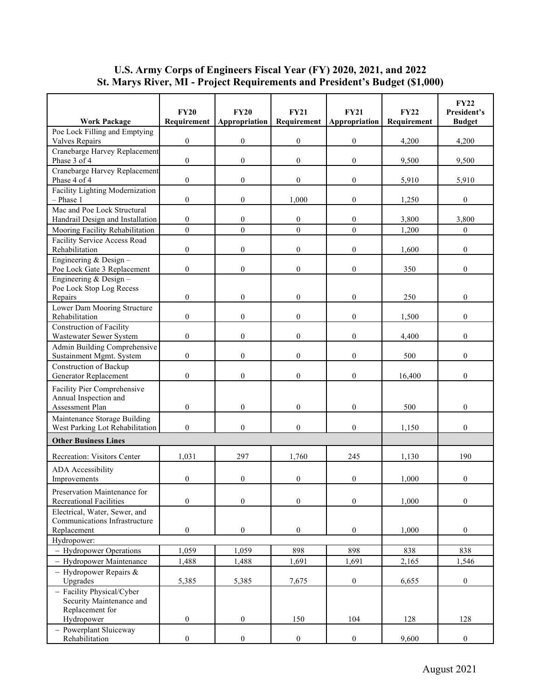|                                                                               | <b>FY20</b>      | <b>FY20</b>      | <b>FY21</b>      | FY21             | FY22        | <b>FY22</b><br>President's |
|-------------------------------------------------------------------------------|------------------|------------------|------------------|------------------|-------------|----------------------------|
| <b>Work Package</b>                                                           | Requirement      | Appropriation    | Requirement      | Appropriation    | Requirement | <b>Budget</b>              |
| Poe Lock Filling and Emptying<br>Valves Repairs                               | $\boldsymbol{0}$ | $\boldsymbol{0}$ | $\boldsymbol{0}$ | $\boldsymbol{0}$ | 4,200       | 4,200                      |
| Cranebarge Harvey Replacement                                                 |                  |                  |                  |                  |             |                            |
| Phase 3 of 4                                                                  | $\boldsymbol{0}$ | $\boldsymbol{0}$ | $\boldsymbol{0}$ | $\boldsymbol{0}$ | 9,500       | 9,500                      |
| Cranebarge Harvey Replacement<br>Phase 4 of 4                                 | $\mathbf{0}$     | $\overline{0}$   | $\boldsymbol{0}$ | $\mathbf{0}$     | 5.910       | 5,910                      |
| Facility Lighting Modernization<br>$-$ Phase 1                                | $\theta$         | $\mathbf{0}$     | 1.000            | $\mathbf{0}$     | 1,250       | $\boldsymbol{0}$           |
| Mac and Poe Lock Structural<br>Handrail Design and Installation               | $\mathbf{0}$     | $\mathbf{0}$     | $\boldsymbol{0}$ | $\mathbf{0}$     | 3,800       | 3,800                      |
| Mooring Facility Rehabilitation                                               | $\mathbf{0}$     | $\boldsymbol{0}$ | $\boldsymbol{0}$ | $\mathbf{0}$     | 1,200       | 0                          |
| Facility Service Access Road<br>Rehabilitation                                | $\mathbf{0}$     | $\boldsymbol{0}$ | $\boldsymbol{0}$ | $\boldsymbol{0}$ | 1,600       | $\boldsymbol{0}$           |
| Engineering & Design-<br>Poe Lock Gate 3 Replacement                          | $\boldsymbol{0}$ | $\boldsymbol{0}$ | $\boldsymbol{0}$ | $\boldsymbol{0}$ | 350         | $\boldsymbol{0}$           |
| Engineering & Design -<br>Poe Lock Stop Log Recess                            |                  |                  |                  |                  |             |                            |
| Repairs                                                                       | $\mathbf{0}$     | $\mathbf{0}$     | $\boldsymbol{0}$ | $\mathbf{0}$     | 250         | $\overline{0}$             |
| Lower Dam Mooring Structure<br>Rehabilitation                                 | $\mathbf{0}$     | $\mathbf{0}$     | $\overline{0}$   | $\mathbf{0}$     | 1,500       | $\overline{0}$             |
| <b>Construction of Facility</b><br>Wastewater Sewer System                    | $\mathbf{0}$     | $\mathbf{0}$     | $\boldsymbol{0}$ | $\boldsymbol{0}$ | 4,400       | $\boldsymbol{0}$           |
| Admin Building Comprehensive<br>Sustainment Mgmt. System                      | $\boldsymbol{0}$ | $\boldsymbol{0}$ | $\boldsymbol{0}$ | $\boldsymbol{0}$ | 500         | $\boldsymbol{0}$           |
| Construction of Backup<br>Generator Replacement                               | $\mathbf{0}$     | $\boldsymbol{0}$ | $\boldsymbol{0}$ | $\mathbf{0}$     | 16,400      | $\overline{0}$             |
| Facility Pier Comprehensive<br>Annual Inspection and                          |                  |                  |                  |                  |             |                            |
| Assessment Plan                                                               | $\mathbf{0}$     | $\mathbf{0}$     | $\boldsymbol{0}$ | $\mathbf{0}$     | 500         | $\boldsymbol{0}$           |
| Maintenance Storage Building<br>West Parking Lot Rehabilitation               | $\theta$         | $\overline{0}$   | $\boldsymbol{0}$ | $\boldsymbol{0}$ | 1,150       | $\boldsymbol{0}$           |
| <b>Other Business Lines</b>                                                   |                  |                  |                  |                  |             |                            |
| Recreation: Visitors Center                                                   | 1,031            | 297              | 1,760            | 245              | 1,130       | 190                        |
| ADA Accessibility<br>Improvements                                             | $\mathbf{0}$     | $\boldsymbol{0}$ | $\boldsymbol{0}$ | $\boldsymbol{0}$ | 1,000       | $\boldsymbol{0}$           |
| Preservation Maintenance for<br><b>Recreational Facilities</b>                | $\boldsymbol{0}$ | $\boldsymbol{0}$ | $\boldsymbol{0}$ | $\boldsymbol{0}$ | 1,000       | $\boldsymbol{0}$           |
| Electrical, Water, Sewer, and<br>Communications Infrastructure<br>Replacement | $\boldsymbol{0}$ | $\boldsymbol{0}$ | $\boldsymbol{0}$ | $\boldsymbol{0}$ | 1,000       | $\boldsymbol{0}$           |
| Hydropower:                                                                   |                  |                  |                  |                  |             |                            |
| - Hydropower Operations                                                       | 1,059            | 1,059            | 898              | 898              | 838         | 838                        |
| - Hydropower Maintenance                                                      | 1,488            | 1,488            | 1,691            | 1,691            | 2,165       | 1,546                      |
| - Hydropower Repairs $\&$<br>Upgrades                                         | 5,385            | 5,385            | 7,675            | $\boldsymbol{0}$ | 6,655       | $\boldsymbol{0}$           |
| - Facility Physical/Cyber                                                     |                  |                  |                  |                  |             |                            |
| Security Maintenance and                                                      |                  |                  |                  |                  |             |                            |
| Replacement for<br>Hydropower                                                 | $\boldsymbol{0}$ | $\boldsymbol{0}$ | 150              | 104              | 128         | 128                        |
| - Powerplant Sluiceway<br>Rehabilitation                                      | $\boldsymbol{0}$ | $\boldsymbol{0}$ | $\boldsymbol{0}$ | $\boldsymbol{0}$ | 9,600       | $\boldsymbol{0}$           |